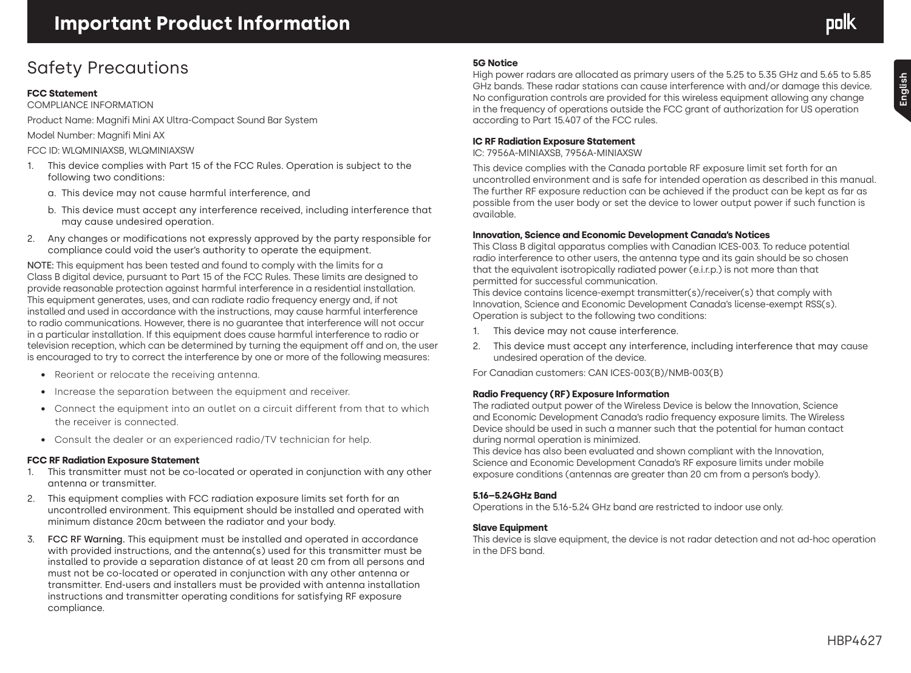**English**

## Safety Precautions

### **FCC Statement**

COMPLIANCE INFORMATION

Product Name: Magnifi Mini AX Ultra-Compact Sound Bar System

Model Number: Magnifi Mini AX

FCC ID: WLQMINIAXSB, WLQMINIAXSW

- 1. This device complies with Part 15 of the FCC Rules. Operation is subject to the following two conditions:
	- a. This device may not cause harmful interference, and
	- b. This device must accept any interference received, including interference that may cause undesired operation.
- 2. Any changes or modifications not expressly approved by the party responsible for compliance could void the user's authority to operate the equipment.

NOTE: This equipment has been tested and found to comply with the limits for a Class B digital device, pursuant to Part 15 of the FCC Rules. These limits are designed to provide reasonable protection against harmful interference in a residential installation. This equipment generates, uses, and can radiate radio frequency energy and, if not installed and used in accordance with the instructions, may cause harmful interference to radio communications. However, there is no guarantee that interference will not occur in a particular installation. If this equipment does cause harmful interference to radio or television reception, which can be determined by turning the equipment off and on, the user is encouraged to try to correct the interference by one or more of the following measures:

- Reorient or relocate the receiving antenna.
- Increase the separation between the equipment and receiver.
- Connect the equipment into an outlet on a circuit different from that to which the receiver is connected.
- Consult the dealer or an experienced radio/TV technician for help.

#### **FCC RF Radiation Exposure Statement**

- 1. This transmitter must not be co-located or operated in conjunction with any other antenna or transmitter.
- 2. This equipment complies with FCC radiation exposure limits set forth for an uncontrolled environment. This equipment should be installed and operated with minimum distance 20cm between the radiator and your body.
- 3. FCC RF Warning. This equipment must be installed and operated in accordance with provided instructions, and the antenna(s) used for this transmitter must be installed to provide a separation distance of at least 20 cm from all persons and must not be co-located or operated in conjunction with any other antenna or transmitter. End-users and installers must be provided with antenna installation instructions and transmitter operating conditions for satisfying RF exposure compliance.

### **5G Notice**

High power radars are allocated as primary users of the 5.25 to 5.35 GHz and 5.65 to 5.85 GHz bands. These radar stations can cause interference with and/or damage this device. No configuration controls are provided for this wireless equipment allowing any change in the frequency of operations outside the FCC grant of authorization for US operation according to Part 15.407 of the FCC rules.

#### **IC RF Radiation Exposure Statement**

IC: 7956A-MINIAXSB, 7956A-MINIAXSW

This device complies with the Canada portable RF exposure limit set forth for an uncontrolled environment and is safe for intended operation as described in this manual. The further RF exposure reduction can be achieved if the product can be kept as far as possible from the user body or set the device to lower output power if such function is available.

#### **Innovation, Science and Economic Development Canada's Notices**

This Class B digital apparatus complies with Canadian ICES-003. To reduce potential radio interference to other users, the antenna type and its gain should be so chosen that the equivalent isotropically radiated power (e.i.r.p.) is not more than that permitted for successful communication.

This device contains licence-exempt transmitter(s)/receiver(s) that comply with Innovation, Science and Economic Development Canada's license-exempt RSS(s). Operation is subject to the following two conditions:

- 1. This device may not cause interference.
- 2. This device must accept any interference, including interference that may cause undesired operation of the device.

For Canadian customers: CAN ICES-003(B)/NMB-003(B)

#### **Radio Frequency (RF) Exposure Information**

The radiated output power of the Wireless Device is below the Innovation, Science and Economic Development Canada's radio frequency exposure limits. The Wireless Device should be used in such a manner such that the potential for human contact during normal operation is minimized.

This device has also been evaluated and shown compliant with the Innovation, Science and Economic Development Canada's RF exposure limits under mobile exposure conditions (antennas are greater than 20 cm from a person's body).

#### **5.16–5.24GHz Band**

Operations in the 5.16-5.24 GHz band are restricted to indoor use only.

#### **Slave Equipment**

This device is slave equipment, the device is not radar detection and not ad-hoc operation in the DFS band.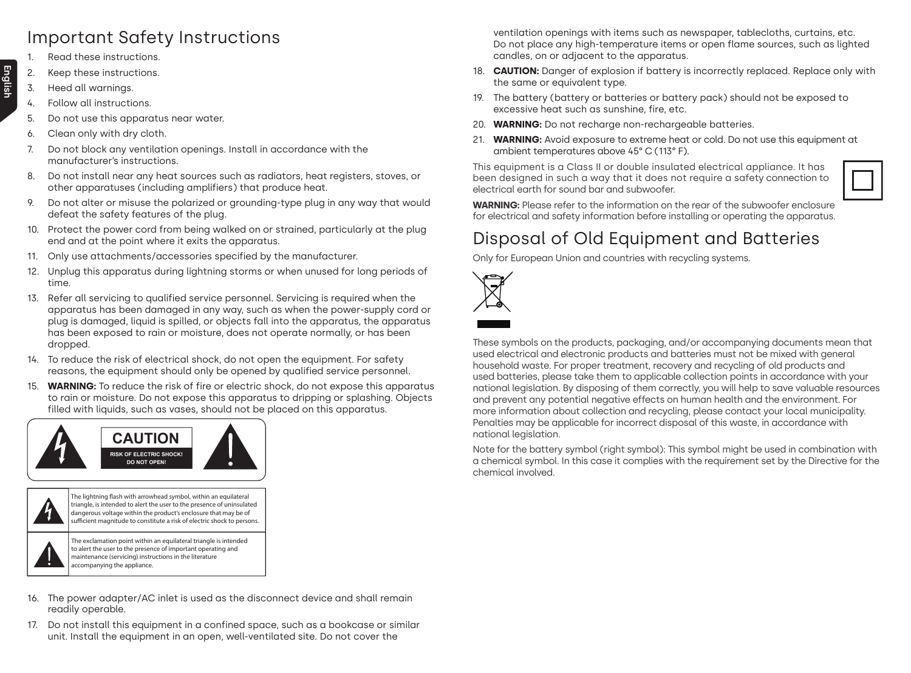## Important Safety Instructions

- 1. Read these instructions.
- 2. Keep these instructions.
- 3. Heed all warnings.
- 4. Follow all instructions.
- 5. Do not use this apparatus near water.
- 6. Clean only with dry cloth.
- 7. Do not block any ventilation openings. Install in accordance with the manufacturer's instructions.
- 8. Do not install near any heat sources such as radiators, heat registers, stoves, or other apparatuses (including amplifiers) that produce heat.
- 9. Do not alter or misuse the polarized or grounding-type plug in any way that would defeat the safety features of the plug.
- 10. Protect the power cord from being walked on or strained, particularly at the plug end and at the point where it exits the apparatus.
- 11. Only use attachments/accessories specified by the manufacturer.
- 12. Unplug this apparatus during lightning storms or when unused for long periods of time.
- 13. Refer all servicing to qualified service personnel. Servicing is required when the apparatus has been damaged in any way, such as when the power-supply cord or plug is damaged, liquid is spilled, or objects fall into the apparatus, the apparatus has been exposed to rain or moisture, does not operate normally, or has been dropped.
- 14. To reduce the risk of electrical shock, do not open the equipment. For safety reasons, the equipment should only be opened by qualified service personnel.
- 15. **WARNING:** To reduce the risk of fire or electric shock, do not expose this apparatus to rain or moisture. Do not expose this apparatus to dripping or splashing. Objects filled with liquids, such as vases, should not be placed on this apparatus.





- 16. The power adapter/AC inlet is used as the disconnect device and shall remain readily operable.
- 17. Do not install this equipment in a confined space, such as a bookcase or similar unit. Install the equipment in an open, well-ventilated site. Do not cover the

ventilation openings with items such as newspaper, tablecloths, curtains, etc. Do not place any high-temperature items or open flame sources, such as lighted candles, on or adjacent to the apparatus.

- 18. **CAUTION:** Danger of explosion if battery is incorrectly replaced. Replace only with the same or equivalent type.
- 19. The battery (battery or batteries or battery pack) should not be exposed to excessive heat such as sunshine, fire, etc.
- 20. **WARNING:** Do not recharge non-rechargeable batteries.
- 21. **WARNING:** Avoid exposure to extreme heat or cold. Do not use this equipment at ambient temperatures above 45° C (113° F).

This equipment is a Class II or double insulated electrical appliance. It has been designed in such a way that it does not require a safety connection to electrical earth for sound bar and subwoofer.



**WARNING:** Please refer to the information on the rear of the subwoofer enclosure for electrical and safety information before installing or operating the apparatus.

# Disposal of Old Equipment and Batteries

Only for European Union and countries with recycling systems.



These symbols on the products, packaging, and/or accompanying documents mean that used electrical and electronic products and batteries must not be mixed with general household waste. For proper treatment, recovery and recycling of old products and used batteries, please take them to applicable collection points in accordance with your national legislation. By disposing of them correctly, you will help to save valuable resources and prevent any potential negative effects on human health and the environment. For more information about collection and recycling, please contact your local municipality. Penalties may be applicable for incorrect disposal of this waste, in accordance with national legislation.

Note for the battery symbol (right symbol): This symbol might be used in combination with a chemical symbol. In this case it complies with the requirement set by the Directive for the chemical involved.

**English**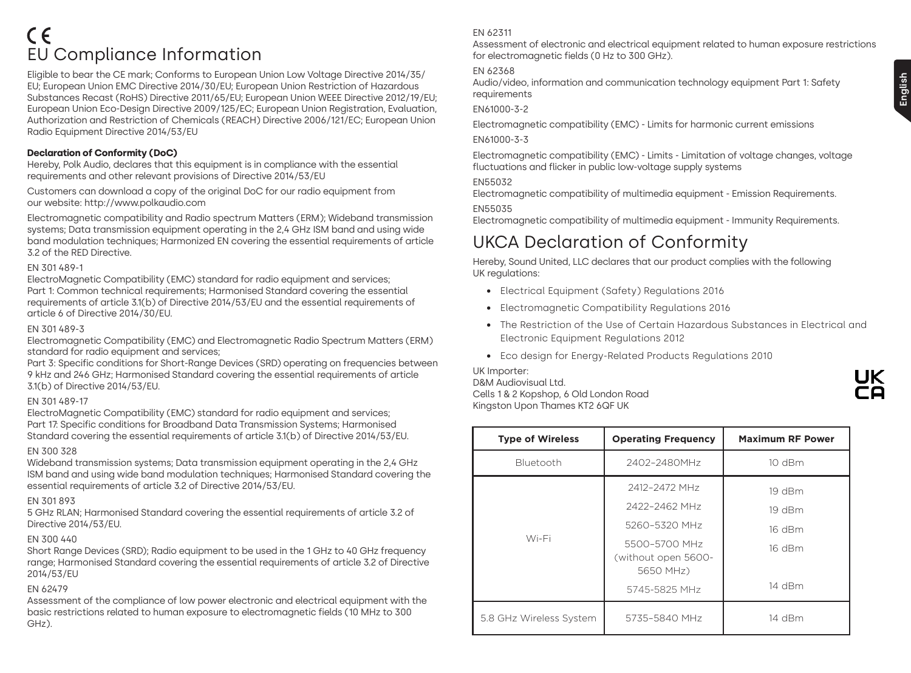# ( F EU Compliance Information

Eligible to bear the CE mark; Conforms to European Union Low Voltage Directive 2014/35/ EU; European Union EMC Directive 2014/30/EU; European Union Restriction of Hazardous Substances Recast (RoHS) Directive 2011/65/EU; European Union WEEE Directive 2012/19/EU; European Union Eco-Design Directive 2009/125/EC; European Union Registration, Evaluation, Authorization and Restriction of Chemicals (REACH) Directive 2006/121/EC; European Union Radio Equipment Directive 2014/53/EU

## **Declaration of Conformity (DoC)**

Hereby, Polk Audio, declares that this equipment is in compliance with the essential requirements and other relevant provisions of Directive 2014/53/EU

Customers can download a copy of the original DoC for our radio equipment from our website: http://www.polkaudio.com

Electromagnetic compatibility and Radio spectrum Matters (ERM); Wideband transmission systems; Data transmission equipment operating in the 2,4 GHz ISM band and using wide band modulation techniques; Harmonized EN covering the essential requirements of article 3.2 of the RED Directive.

### EN 301 489-1

ElectroMagnetic Compatibility (EMC) standard for radio equipment and services; Part 1: Common technical requirements; Harmonised Standard covering the essential requirements of article 3.1(b) of Directive 2014/53/EU and the essential requirements of article 6 of Directive 2014/30/EU.

#### EN 301 489-3

Electromagnetic Compatibility (EMC) and Electromagnetic Radio Spectrum Matters (ERM) standard for radio equipment and services;

Part 3: Specific conditions for Short-Range Devices (SRD) operating on frequencies between 9 kHz and 246 GHz; Harmonised Standard covering the essential requirements of article 3.1(b) of Directive 2014/53/EU.

## EN 301 489-17

ElectroMagnetic Compatibility (EMC) standard for radio equipment and services; Part 17: Specific conditions for Broadband Data Transmission Systems; Harmonised Standard covering the essential requirements of article 3.1(b) of Directive 2014/53/EU. EN 300 328

Wideband transmission systems; Data transmission equipment operating in the 2,4 GHz ISM band and using wide band modulation techniques; Harmonised Standard covering the essential requirements of article 3.2 of Directive 2014/53/EU.

## EN 301 893

5 GHz RLAN; Harmonised Standard covering the essential requirements of article 3.2 of Directive 2014/53/EU.

## EN 300 440

Short Range Devices (SRD); Radio equipment to be used in the 1 GHz to 40 GHz frequency range; Harmonised Standard covering the essential requirements of article 3.2 of Directive 2014/53/EU

## EN 62479

Assessment of the compliance of low power electronic and electrical equipment with the basic restrictions related to human exposure to electromagnetic fields (10 MHz to 300 GHz).

## EN 62311

Assessment of electronic and electrical equipment related to human exposure restrictions for electromagnetic fields (0 Hz to 300 GHz).

## EN 62368

Audio/video, information and communication technology equipment Part 1: Safety requirements

## EN61000-3-2

Electromagnetic compatibility (EMC) - Limits for harmonic current emissions

## EN61000-3-3

Electromagnetic compatibility (EMC) - Limits - Limitation of voltage changes, voltage fluctuations and flicker in public low-voltage supply systems

#### EN55032

Electromagnetic compatibility of multimedia equipment - Emission Requirements.

### EN55035

Electromagnetic compatibility of multimedia equipment - Immunity Requirements.

# UKCA Declaration of Conformity

Hereby, Sound United, LLC declares that our product complies with the following UK regulations:

- Electrical Equipment (Safety) Regulations 2016
- Electromagnetic Compatibility Regulations 2016
- The Restriction of the Use of Certain Hazardous Substances in Electrical and Electronic Equipment Regulations 2012
- Eco design for Energy-Related Products Regulations 2010

#### UK Importer:

D&M Audiovisual Ltd. Cells 1 & 2 Kopshop, 6 Old London Road Kingston Upon Thames KT2 6QF UK

| <b>Type of Wireless</b> | <b>Operating Frequency</b>                        | <b>Maximum RF Power</b> |
|-------------------------|---------------------------------------------------|-------------------------|
| Bluetooth               | 2402-2480MHz<br>10 dBm                            |                         |
| Wi-Fi                   | 2412-2472 MHz                                     | 19 dBm                  |
|                         | 2422-2462 MHz                                     | 19 dBm                  |
|                         | 5260-5320 MHz                                     | 16 dBm                  |
|                         | 5500-5700 MHz<br>(without open 5600-<br>5650 MHz) | 16 dBm                  |
|                         | 5745-5825 MHz                                     | 14 dBm                  |
| 5.8 GHz Wireless System | 5735-5840 MHz                                     | 14 dBm                  |

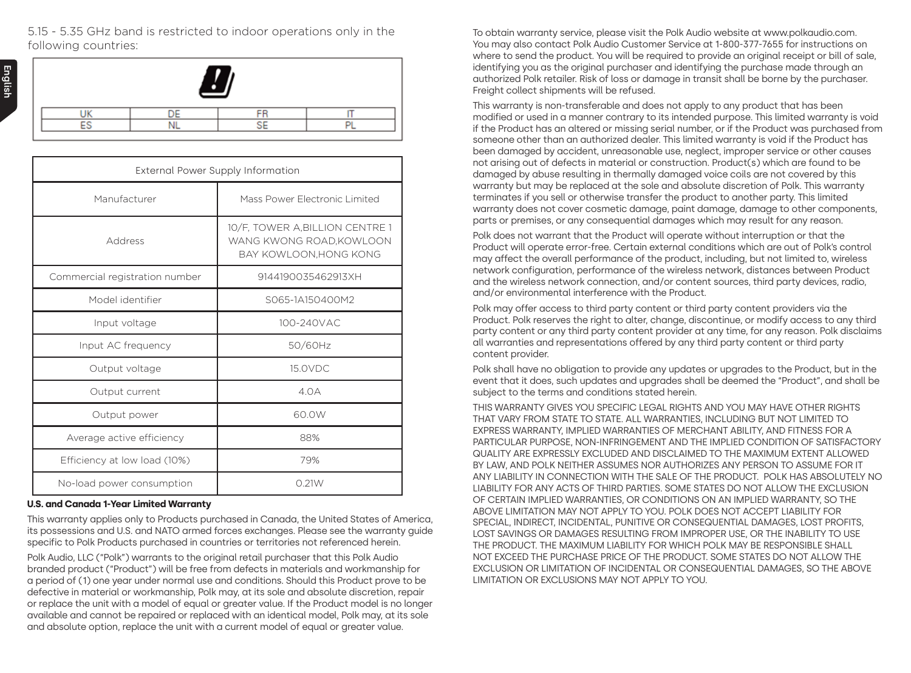5.15 - 5.35 GHz band is restricted to indoor operations only in the following countries:



| <b>External Power Supply Information</b> |                                                                                       |  |
|------------------------------------------|---------------------------------------------------------------------------------------|--|
| Manufacturer                             | Mass Power Flectronic Limited                                                         |  |
| Address                                  | 10/F, TOWER A, BILLION CENTRE 1<br>WANG KWONG ROAD, KOWLOON<br>BAY KOWLOON, HONG KONG |  |
| Commercial registration number           | 9144190035462913XH                                                                    |  |
| Model identifier                         | S065-1A150400M2                                                                       |  |
| Input voltage                            | 100-240VAC                                                                            |  |
| Input AC frequency                       | 50/60Hz                                                                               |  |
| Output voltage                           | 15.0VDC                                                                               |  |
| Output current                           | 4.0A                                                                                  |  |
| Output power                             | 60.0W                                                                                 |  |
| Average active efficiency                | 88%                                                                                   |  |
| Efficiency at low load (10%)             | 79%                                                                                   |  |
| No-load power consumption                | 0.21W                                                                                 |  |

#### **U.S. and Canada 1-Year Limited Warranty**

This warranty applies only to Products purchased in Canada, the United States of America, its possessions and U.S. and NATO armed forces exchanges. Please see the warranty guide specific to Polk Products purchased in countries or territories not referenced herein.

Polk Audio, LLC ("Polk") warrants to the original retail purchaser that this Polk Audio branded product ("Product") will be free from defects in materials and workmanship for a period of (1) one year under normal use and conditions. Should this Product prove to be defective in material or workmanship, Polk may, at its sole and absolute discretion, repair or replace the unit with a model of equal or greater value. If the Product model is no longer available and cannot be repaired or replaced with an identical model, Polk may, at its sole and absolute option, replace the unit with a current model of equal or greater value.

To obtain warranty service, please visit the Polk Audio website at www.polkaudio.com. You may also contact Polk Audio Customer Service at 1-800-377-7655 for instructions on where to send the product. You will be required to provide an original receipt or bill of sale, identifying you as the original purchaser and identifying the purchase made through an authorized Polk retailer. Risk of loss or damage in transit shall be borne by the purchaser. Freight collect shipments will be refused.

This warranty is non-transferable and does not apply to any product that has been modified or used in a manner contrary to its intended purpose. This limited warranty is void if the Product has an altered or missing serial number, or if the Product was purchased from someone other than an authorized dealer. This limited warranty is void if the Product has been damaged by accident, unreasonable use, neglect, improper service or other causes not arising out of defects in material or construction. Product(s) which are found to be damaged by abuse resulting in thermally damaged voice coils are not covered by this warranty but may be replaced at the sole and absolute discretion of Polk. This warranty terminates if you sell or otherwise transfer the product to another party. This limited warranty does not cover cosmetic damage, paint damage, damage to other components, parts or premises, or any consequential damages which may result for any reason.

Polk does not warrant that the Product will operate without interruption or that the Product will operate error-free. Certain external conditions which are out of Polk's control may affect the overall performance of the product, including, but not limited to, wireless network configuration, performance of the wireless network, distances between Product and the wireless network connection, and/or content sources, third party devices, radio, and/or environmental interference with the Product.

Polk may offer access to third party content or third party content providers via the Product. Polk reserves the right to alter, change, discontinue, or modify access to any third party content or any third party content provider at any time, for any reason. Polk disclaims all warranties and representations offered by any third party content or third party content provider.

Polk shall have no obligation to provide any updates or upgrades to the Product, but in the event that it does, such updates and upgrades shall be deemed the "Product", and shall be subject to the terms and conditions stated herein.

THIS WARRANTY GIVES YOU SPECIFIC LEGAL RIGHTS AND YOU MAY HAVE OTHER RIGHTS THAT VARY FROM STATE TO STATE. ALL WARRANTIES, INCLUDING BUT NOT LIMITED TO EXPRESS WARRANTY, IMPLIED WARRANTIES OF MERCHANT ABILITY, AND FITNESS FOR A PARTICULAR PURPOSE, NON-INFRINGEMENT AND THE IMPLIED CONDITION OF SATISFACTORY QUALITY ARE EXPRESSLY EXCLUDED AND DISCLAIMED TO THE MAXIMUM EXTENT ALLOWED BY LAW, AND POLK NEITHER ASSUMES NOR AUTHORIZES ANY PERSON TO ASSUME FOR IT ANY LIABILITY IN CONNECTION WITH THE SALE OF THE PRODUCT. POLK HAS ABSOLUTELY NO LIABILITY FOR ANY ACTS OF THIRD PARTIES. SOME STATES DO NOT ALLOW THE EXCLUSION OF CERTAIN IMPLIED WARRANTIES, OR CONDITIONS ON AN IMPLIED WARRANTY, SO THE ABOVE LIMITATION MAY NOT APPLY TO YOU. POLK DOES NOT ACCEPT LIABILITY FOR SPECIAL, INDIRECT, INCIDENTAL, PUNITIVE OR CONSEQUENTIAL DAMAGES, LOST PROFITS, LOST SAVINGS OR DAMAGES RESULTING FROM IMPROPER USE, OR THE INABILITY TO USE THE PRODUCT. THE MAXIMUM LIABILITY FOR WHICH POLK MAY BE RESPONSIBLE SHALL NOT EXCEED THE PURCHASE PRICE OF THE PRODUCT. SOME STATES DO NOT ALLOW THE EXCLUSION OR LIMITATION OF INCIDENTAL OR CONSEQUENTIAL DAMAGES, SO THE ABOVE LIMITATION OR EXCLUSIONS MAY NOT APPLY TO YOU.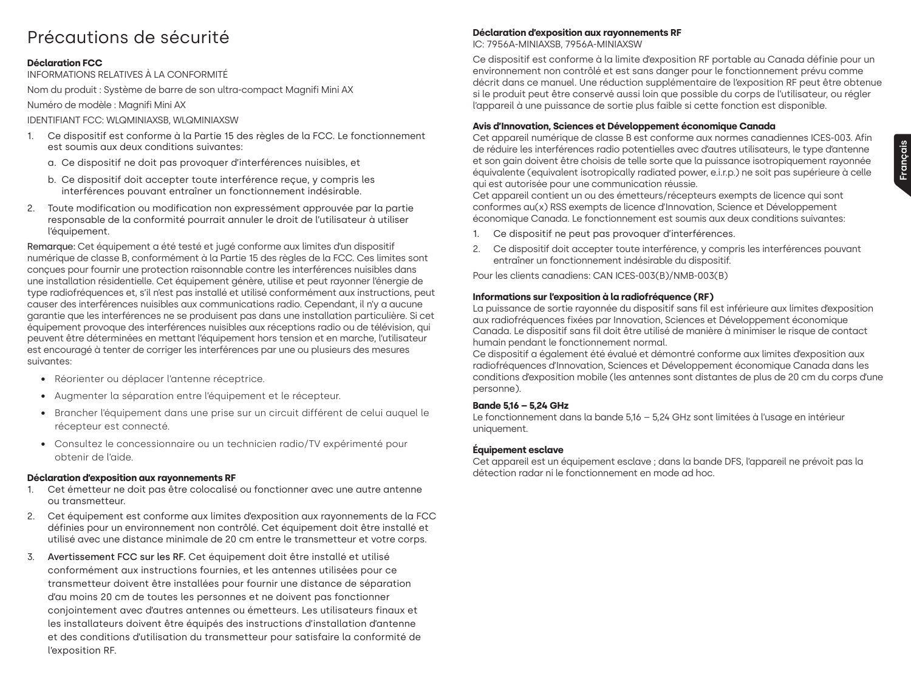## Précautions de sécurité

## **Déclaration FCC**

INFORMATIONS RELATIVES À LA CONFORMITÉ

Nom du produit : Système de barre de son ultra-compact Magnifi Mini AX

Numéro de modèle : Magnifi Mini AX

IDENTIFIANT FCC: WLQMINIAXSB, WLQMINIAXSW

- 1. Ce dispositif est conforme à la Partie 15 des règles de la FCC. Le fonctionnement est soumis aux deux conditions suivantes:
	- a. Ce dispositif ne doit pas provoquer d'interférences nuisibles, et
	- b. Ce dispositif doit accepter toute interférence reçue, y compris les interférences pouvant entraîner un fonctionnement indésirable.
- 2. Toute modification ou modification non expressément approuvée par la partie responsable de la conformité pourrait annuler le droit de l'utilisateur à utiliser l'équipement.

Remarque: Cet équipement a été testé et jugé conforme aux limites d'un dispositif numérique de classe B, conformément à la Partie 15 des règles de la FCC. Ces limites sont conçues pour fournir une protection raisonnable contre les interférences nuisibles dans une installation résidentielle. Cet équipement génère, utilise et peut rayonner l'énergie de type radiofréquences et, s'il n'est pas installé et utilisé conformément aux instructions, peut causer des interférences nuisibles aux communications radio. Cependant, il n'y a aucune garantie que les interférences ne se produisent pas dans une installation particulière. Si cet équipement provoque des interférences nuisibles aux réceptions radio ou de télévision, qui peuvent être déterminées en mettant l'équipement hors tension et en marche, l'utilisateur est encouragé à tenter de corriger les interférences par une ou plusieurs des mesures suivantes:

- Réorienter ou déplacer l'antenne réceptrice.
- Augmenter la séparation entre l'équipement et le récepteur.
- Brancher l'équipement dans une prise sur un circuit différent de celui auquel le récepteur est connecté.
- Consultez le concessionnaire ou un technicien radio/TV expérimenté pour obtenir de l'aide.

## **Déclaration d'exposition aux rayonnements RF**

- 1. Cet émetteur ne doit pas être colocalisé ou fonctionner avec une autre antenne ou transmetteur.
- 2. Cet équipement est conforme aux limites d'exposition aux rayonnements de la FCC définies pour un environnement non contrôlé. Cet équipement doit être installé et utilisé avec une distance minimale de 20 cm entre le transmetteur et votre corps.
- 3. Avertissement FCC sur les RF. Cet équipement doit être installé et utilisé conformément aux instructions fournies, et les antennes utilisées pour ce transmetteur doivent être installées pour fournir une distance de séparation d'au moins 20 cm de toutes les personnes et ne doivent pas fonctionner conjointement avec d'autres antennes ou émetteurs. Les utilisateurs finaux et les installateurs doivent être équipés des instructions d'installation d'antenne et des conditions d'utilisation du transmetteur pour satisfaire la conformité de l'exposition RF.

## **Déclaration d'exposition aux rayonnements RF**

IC: 7956A-MINIAXSB, 7956A-MINIAXSW

Ce dispositif est conforme à la limite d'exposition RF portable au Canada définie pour un environnement non contrôlé et est sans danger pour le fonctionnement prévu comme décrit dans ce manuel. Une réduction supplémentaire de l'exposition RF peut être obtenue si le produit peut être conservé aussi loin que possible du corps de l'utilisateur, ou régler l'appareil à une puissance de sortie plus faible si cette fonction est disponible.

### **Avis d'Innovation, Sciences et Développement économique Canada**

Cet appareil numérique de classe B est conforme aux normes canadiennes ICES-003. Afin de réduire les interférences radio potentielles avec d'autres utilisateurs, le type d'antenne et son gain doivent être choisis de telle sorte que la puissance isotropiquement rayonnée équivalente (equivalent isotropically radiated power, e.i.r.p.) ne soit pas supérieure à celle qui est autorisée pour une communication réussie.

Cet appareil contient un ou des émetteurs/récepteurs exempts de licence qui sont conformes au(x) RSS exempts de licence d'Innovation, Science et Développement économique Canada. Le fonctionnement est soumis aux deux conditions suivantes:

- 1. Ce dispositif ne peut pas provoquer d'interférences.
- 2. Ce dispositif doit accepter toute interférence, y compris les interférences pouvant entraîner un fonctionnement indésirable du dispositif.

Pour les clients canadiens: CAN ICES-003(B)/NMB-003(B)

### **Informations sur l'exposition à la radiofréquence (RF)**

La puissance de sortie rayonnée du dispositif sans fil est inférieure aux limites d'exposition aux radiofréquences fixées par Innovation, Sciences et Développement économique Canada. Le dispositif sans fil doit être utilisé de manière à minimiser le risque de contact humain pendant le fonctionnement normal.

Ce dispositif a également été évalué et démontré conforme aux limites d'exposition aux radiofréquences d'Innovation, Sciences et Développement économique Canada dans les conditions d'exposition mobile (les antennes sont distantes de plus de 20 cm du corps d'une personne).

## **Bande 5,16 – 5,24 GHz**

Le fonctionnement dans la bande 5,16 – 5,24 GHz sont limitées à l'usage en intérieur uniquement.

## **Équipement esclave**

Cet appareil est un équipement esclave ; dans la bande DFS, l'appareil ne prévoit pas la détection radar ni le fonctionnement en mode ad hoc.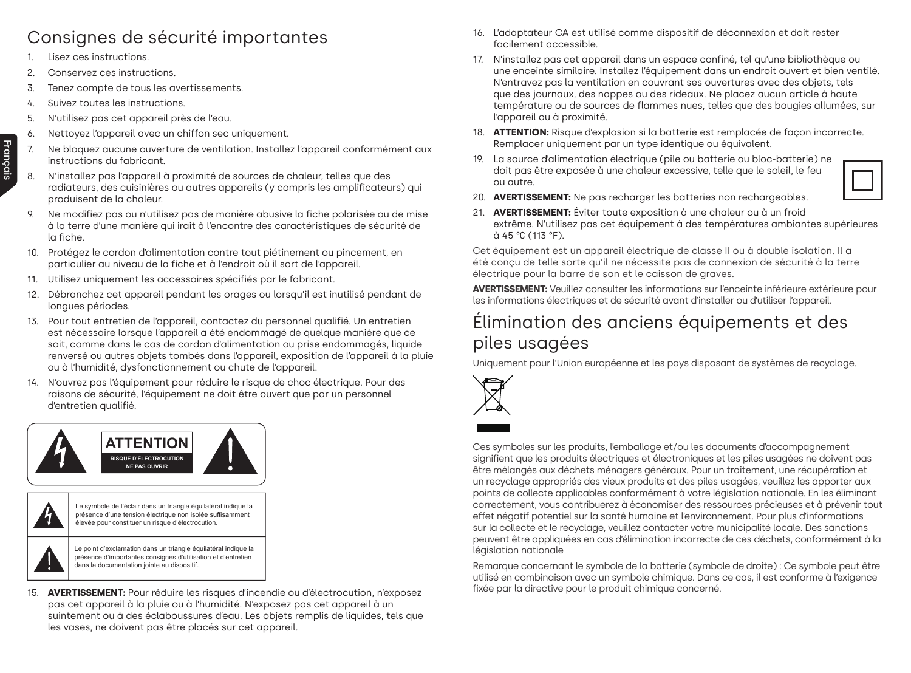## Consignes de sécurité importantes

- 1. Lisez ces instructions.
- 2. Conservez ces instructions.
- 3. Tenez compte de tous les avertissements.
- 4. Suivez toutes les instructions.
- 5. N'utilisez pas cet appareil près de l'eau.
- 6. Nettoyez l'appareil avec un chiffon sec uniquement.
- 7. Ne bloquez aucune ouverture de ventilation. Installez l'appareil conformément aux instructions du fabricant.
- 8. N'installez pas l'appareil à proximité de sources de chaleur, telles que des radiateurs, des cuisinières ou autres appareils (y compris les amplificateurs) qui produisent de la chaleur.
- 9. Ne modifiez pas ou n'utilisez pas de manière abusive la fiche polarisée ou de mise à la terre d'une manière qui irait à l'encontre des caractéristiques de sécurité de la fiche.
- 10. Protégez le cordon d'alimentation contre tout piétinement ou pincement, en particulier au niveau de la fiche et à l'endroit où il sort de l'appareil.
- 11. Utilisez uniquement les accessoires spécifiés par le fabricant.
- 12. Débranchez cet appareil pendant les orages ou lorsqu'il est inutilisé pendant de longues périodes.
- 13. Pour tout entretien de l'appareil, contactez du personnel qualifié. Un entretien est nécessaire lorsque l'appareil a été endommagé de quelque manière que ce soit, comme dans le cas de cordon d'alimentation ou prise endommagés, liquide renversé ou autres objets tombés dans l'appareil, exposition de l'appareil à la pluie ou à l'humidité, dysfonctionnement ou chute de l'appareil.
- 14. N'ouvrez pas l'équipement pour réduire le risque de choc électrique. Pour des raisons de sécurité, l'équipement ne doit être ouvert que par un personnel d'entretien qualifié.



15. **AVERTISSEMENT:** Pour réduire les risques d'incendie ou d'électrocution, n'exposez pas cet appareil à la pluie ou à l'humidité. N'exposez pas cet appareil à un suintement ou à des éclaboussures d'eau. Les objets remplis de liquides, tels que les vases, ne doivent pas être placés sur cet appareil.

- 16. L'adaptateur CA est utilisé comme dispositif de déconnexion et doit rester facilement accessible.
- 17. N'installez pas cet appareil dans un espace confiné, tel qu'une bibliothèque ou une enceinte similaire. Installez l'équipement dans un endroit ouvert et bien ventilé. N'entravez pas la ventilation en couvrant ses ouvertures avec des objets, tels que des journaux, des nappes ou des rideaux. Ne placez aucun article à haute température ou de sources de flammes nues, telles que des bougies allumées, sur l'appareil ou à proximité.
- 18. **ATTENTION:** Risque d'explosion si la batterie est remplacée de façon incorrecte. Remplacer uniquement par un type identique ou équivalent.
- 19. La source d'alimentation électrique (pile ou batterie ou bloc-batterie) ne doit pas être exposée à une chaleur excessive, telle que le soleil, le feu ou autre.

- 20. **AVERTISSEMENT:** Ne pas recharger les batteries non rechargeables.
- 21. **AVERTISSEMENT:** Éviter toute exposition à une chaleur ou à un froid extrême. N'utilisez pas cet équipement à des températures ambiantes supérieures à 45 °C (113 °F).

Cet équipement est un appareil électrique de classe II ou à double isolation. Il a été conçu de telle sorte qu'il ne nécessite pas de connexion de sécurité à la terre électrique pour la barre de son et le caisson de graves.

**AVERTISSEMENT:** Veuillez consulter les informations sur l'enceinte inférieure extérieure pour les informations électriques et de sécurité avant d'installer ou d'utiliser l'appareil.

# Élimination des anciens équipements et des piles usagées

Uniquement pour l'Union européenne et les pays disposant de systèmes de recyclage.



Ces symboles sur les produits, l'emballage et/ou les documents d'accompagnement signifient que les produits électriques et électroniques et les piles usagées ne doivent pas être mélangés aux déchets ménagers généraux. Pour un traitement, une récupération et un recyclage appropriés des vieux produits et des piles usagées, veuillez les apporter aux points de collecte applicables conformément à votre législation nationale. En les éliminant correctement, vous contribuerez à économiser des ressources précieuses et à prévenir tout effet négatif potentiel sur la santé humaine et l'environnement. Pour plus d'informations sur la collecte et le recyclage, veuillez contacter votre municipalité locale. Des sanctions peuvent être appliquées en cas d'élimination incorrecte de ces déchets, conformément à la législation nationale

Remarque concernant le symbole de la batterie (symbole de droite) : Ce symbole peut être utilisé en combinaison avec un symbole chimique. Dans ce cas, il est conforme à l'exigence fixée par la directive pour le produit chimique concerné.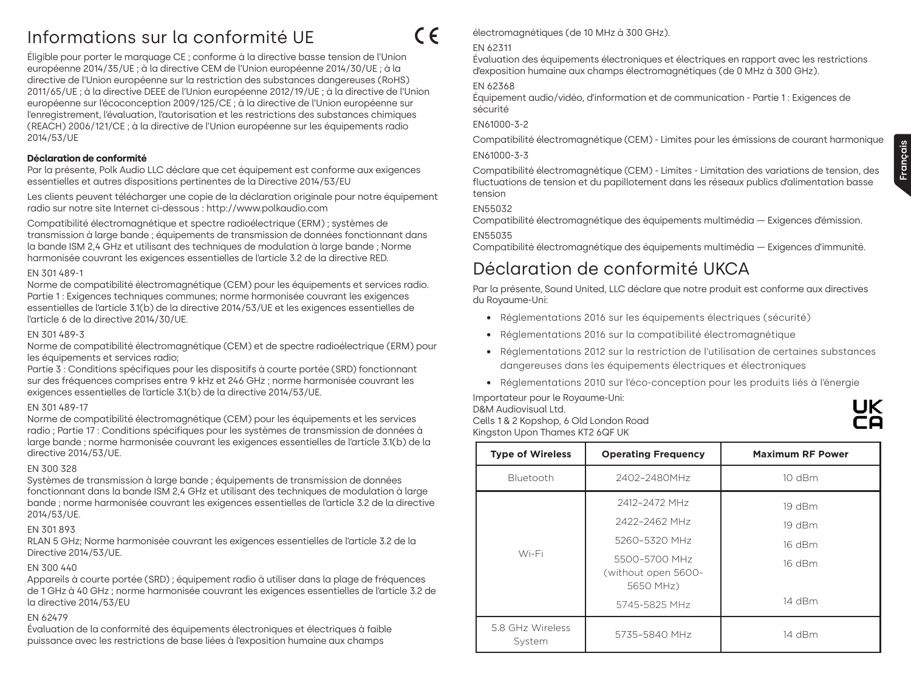# Informations sur la conformité UE

Éligible pour porter le marquage CE ; conforme à la directive basse tension de l'Union européenne 2014/35/UE ; à la directive CEM de l'Union européenne 2014/30/UE ; à la directive de l'Union européenne sur la restriction des substances dangereuses (RoHS) 2011/65/UE ; à la directive DEEE de l'Union européenne 2012/19/UE ; à la directive de l'Union européenne sur l'écoconception 2009/125/CE ; à la directive de l'Union européenne sur l'enregistrement, l'évaluation, l'autorisation et les restrictions des substances chimiques (REACH) 2006/121/CE ; à la directive de l'Union européenne sur les équipements radio 2014/53/UE

### **Déclaration de conformité**

Par la présente, Polk Audio LLC déclare que cet équipement est conforme aux exigences essentielles et autres dispositions pertinentes de la Directive 2014/53/EU

Les clients peuvent télécharger une copie de la déclaration originale pour notre équipement radio sur notre site Internet ci-dessous : http://www.polkaudio.com

Compatibilité électromagnétique et spectre radioélectrique (ERM) ; systèmes de transmission à large bande ; équipements de transmission de données fonctionnant dans la bande ISM 2,4 GHz et utilisant des techniques de modulation à large bande ; Norme harmonisée couvrant les exigences essentielles de l'article 3.2 de la directive RED.

#### EN 301 489-1

Norme de compatibilité électromagnétique (CEM) pour les équipements et services radio. Partie 1 : Exigences techniques communes; norme harmonisée couvrant les exigences essentielles de l'article 3.1(b) de la directive 2014/53/UE et les exigences essentielles de l'article 6 de la directive 2014/30/UE.

#### EN 301 489-3

Norme de compatibilité électromagnétique (CEM) et de spectre radioélectrique (ERM) pour les équipements et services radio;

Partie 3 : Conditions spécifiques pour les dispositifs à courte portée (SRD) fonctionnant sur des fréquences comprises entre 9 kHz et 246 GHz ; norme harmonisée couvrant les exigences essentielles de l'article 3.1(b) de la directive 2014/53/UE.

#### EN 301 489-17

Norme de compatibilité électromagnétique (CEM) pour les équipements et les services radio ; Partie 17 : Conditions spécifiques pour les systèmes de transmission de données à large bande ; norme harmonisée couvrant les exigences essentielles de l'article 3.1(b) de la directive 2014/53/UE.

## EN 300 328

Systèmes de transmission à large bande ; équipements de transmission de données fonctionnant dans la bande ISM 2,4 GHz et utilisant des techniques de modulation à large bande ; norme harmonisée couvrant les exigences essentielles de l'article 3.2 de la directive 2014/53/UE.

## EN 301 893

RLAN 5 GHz; Norme harmonisée couvrant les exigences essentielles de l'article 3.2 de la Directive 2014/53/UE.

#### EN 300 440

Appareils à courte portée (SRD) ; équipement radio à utiliser dans la plage de fréquences de 1 GHz à 40 GHz ; norme harmonisée couvrant les exigences essentielles de l'article 3.2 de la directive 2014/53/EU

## EN 62479

Évaluation de la conformité des équipements électroniques et électriques à faible puissance avec les restrictions de base liées à l'exposition humaine aux champs

électromagnétiques (de 10 MHz à 300 GHz).

## EN 62311

 $\epsilon$ 

Évaluation des équipements électroniques et électriques en rapport avec les restrictions d'exposition humaine aux champs électromagnétiques (de 0 MHz à 300 GHz).

## EN 62368

Équipement audio/vidéo, d'information et de communication - Partie 1 : Exigences de sécurité

## EN61000-3-2

Compatibilité électromagnétique (CEM) - Limites pour les émissions de courant harmonique

## EN61000-3-3

Compatibilité électromagnétique (CEM) - Limites - Limitation des variations de tension, des fluctuations de tension et du papillotement dans les réseaux publics d'alimentation basse tension

## EN55032

Compatibilité électromagnétique des équipements multimédia — Exigences d'émission. EN55035

Compatibilité électromagnétique des équipements multimédia — Exigences d'immunité.

# Déclaration de conformité UKCA

Par la présente, Sound United, LLC déclare que notre produit est conforme aux directives du Royaume-Uni:

- Réglementations 2016 sur les équipements électriques (sécurité)
- Réglementations 2016 sur la compatibilité électromagnétique
- Réglementations 2012 sur la restriction de l'utilisation de certaines substances dangereuses dans les équipements électriques et électroniques
- Réglementations 2010 sur l'éco-conception pour les produits liés à l'énergie

Importateur pour le Royaume-Uni: D&M Audiovisual Ltd. Cells 1 & 2 Kopshop, 6 Old London Road Kingston Upon Thames KT2 6QF UK

| <b>Type of Wireless</b>    | <b>Operating Frequency</b>                        | <b>Maximum RF Power</b> |
|----------------------------|---------------------------------------------------|-------------------------|
| Bluetooth                  | 2402-2480MHz                                      | 10 dBm                  |
|                            | 2412-2472 MHz                                     | 19 dBm                  |
|                            | 2422-2462 MHz                                     | 19 dBm                  |
| Wi-Fi                      | 5260-5320 MHz                                     | 16 dBm                  |
|                            | 5500-5700 MHz<br>(without open 5600-<br>5650 MHz) | 16 dBm                  |
|                            | 5745-5825 MHz                                     | 14 dBm                  |
| 5.8 GHz Wireless<br>System | 5735-5840 MHz                                     | 14 dBm                  |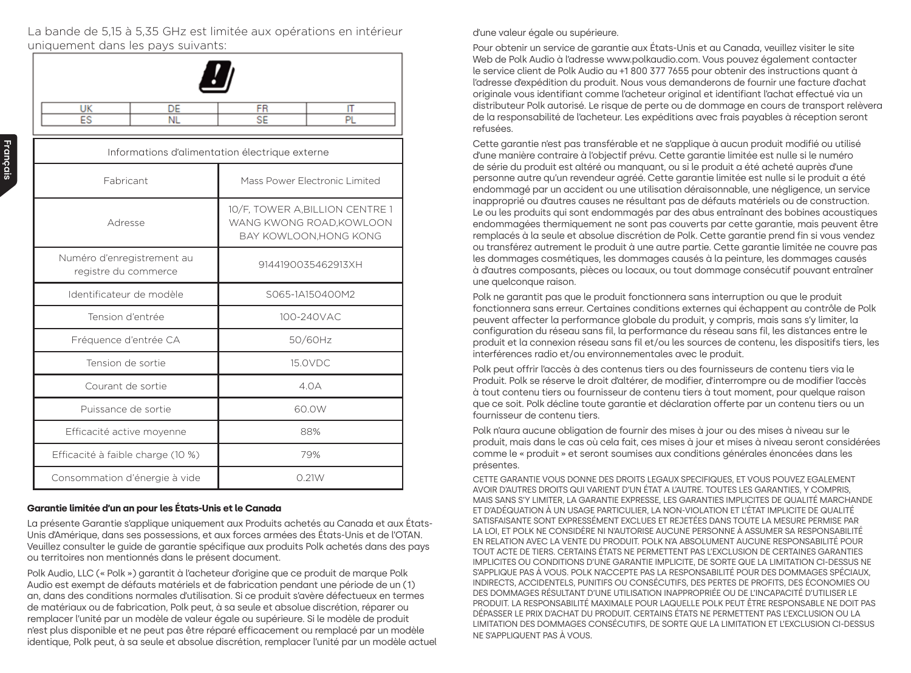La bande de 5,15 à 5,35 GHz est limitée aux opérations en intérieur uniquement dans les pays suivants:

| <b>UK</b>                                          | DE                                | FR<br>IT           |                                                                                      |  |
|----------------------------------------------------|-----------------------------------|--------------------|--------------------------------------------------------------------------------------|--|
| ES                                                 | <b>NL</b>                         | <b>SE</b>          | PL                                                                                   |  |
| Informations d'alimentation électrique externe     |                                   |                    |                                                                                      |  |
|                                                    | Fabricant                         |                    | Mass Power Flectronic Limited                                                        |  |
| Adresse                                            |                                   |                    | 10/F, TOWER A, BILLION CENTRE 1<br>WANG KWONG ROAD, KOWLOON<br>BAY KOWLOON.HONG KONG |  |
| Numéro d'enregistrement au<br>registre du commerce |                                   | 9144190035462913XH |                                                                                      |  |
| Identificateur de modèle                           |                                   |                    | S065-1A150400M2                                                                      |  |
| Tension d'entrée                                   |                                   |                    | 100-240VAC                                                                           |  |
| Fréquence d'entrée CA                              |                                   |                    | 50/60Hz                                                                              |  |
| Tension de sortie                                  |                                   |                    | 15.0VDC                                                                              |  |
| Courant de sortie                                  |                                   |                    | 4.0A                                                                                 |  |
| Puissance de sortie                                |                                   | 60.0W              |                                                                                      |  |
|                                                    | Efficacité active moyenne         |                    | 88%                                                                                  |  |
|                                                    | Efficacité à faible charge (10 %) |                    | 79%                                                                                  |  |
| Consommation d'énergie à vide                      |                                   | 0.21W              |                                                                                      |  |

#### **Garantie limitée d'un an pour les États-Unis et le Canada**

La présente Garantie s'applique uniquement aux Produits achetés au Canada et aux États-Unis d'Amérique, dans ses possessions, et aux forces armées des États-Unis et de l'OTAN. Veuillez consulter le guide de garantie spécifique aux produits Polk achetés dans des pays ou territoires non mentionnés dans le présent document.

Polk Audio, LLC (« Polk ») garantit à l'acheteur d'origine que ce produit de marque Polk Audio est exempt de défauts matériels et de fabrication pendant une période de un (1) an, dans des conditions normales d'utilisation. Si ce produit s'avère défectueux en termes de matériaux ou de fabrication, Polk peut, à sa seule et absolue discrétion, réparer ou remplacer l'unité par un modèle de valeur égale ou supérieure. Si le modèle de produit n'est plus disponible et ne peut pas être réparé efficacement ou remplacé par un modèle identique, Polk peut, à sa seule et absolue discrétion, remplacer l'unité par un modèle actuel

#### d'une valeur égale ou supérieure.

Pour obtenir un service de garantie aux États-Unis et au Canada, veuillez visiter le site Web de Polk Audio à l'adresse www.polkaudio.com. Vous pouvez également contacter le service client de Polk Audio au +1 800 377 7655 pour obtenir des instructions quant à l'adresse d'expédition du produit. Nous vous demanderons de fournir une facture d'achat originale vous identifiant comme l'acheteur original et identifiant l'achat effectué via un distributeur Polk autorisé. Le risque de perte ou de dommage en cours de transport relèvera de la responsabilité de l'acheteur. Les expéditions avec frais payables à réception seront refusées.

Cette garantie n'est pas transférable et ne s'applique à aucun produit modifié ou utilisé d'une manière contraire à l'objectif prévu. Cette garantie limitée est nulle si le numéro de série du produit est altéré ou manquant, ou si le produit a été acheté auprès d'une personne autre qu'un revendeur agréé. Cette garantie limitée est nulle si le produit a été endommagé par un accident ou une utilisation déraisonnable, une négligence, un service inapproprié ou d'autres causes ne résultant pas de défauts matériels ou de construction. Le ou les produits qui sont endommagés par des abus entraînant des bobines acoustiques endommagées thermiquement ne sont pas couverts par cette garantie, mais peuvent être remplacés à la seule et absolue discrétion de Polk. Cette garantie prend fin si vous vendez ou transférez autrement le produit à une autre partie. Cette garantie limitée ne couvre pas les dommages cosmétiques, les dommages causés à la peinture, les dommages causés à d'autres composants, pièces ou locaux, ou tout dommage consécutif pouvant entraîner une quelconque raison.

Polk ne garantit pas que le produit fonctionnera sans interruption ou que le produit fonctionnera sans erreur. Certaines conditions externes qui échappent au contrôle de Polk peuvent affecter la performance globale du produit, y compris, mais sans s'y limiter, la configuration du réseau sans fil, la performance du réseau sans fil, les distances entre le produit et la connexion réseau sans fil et/ou les sources de contenu, les dispositifs tiers, les interférences radio et/ou environnementales avec le produit.

Polk peut offrir l'accès à des contenus tiers ou des fournisseurs de contenu tiers via le Produit. Polk se réserve le droit d'altérer, de modifier, d'interrompre ou de modifier l'accès à tout contenu tiers ou fournisseur de contenu tiers à tout moment, pour quelque raison que ce soit. Polk décline toute garantie et déclaration offerte par un contenu tiers ou un fournisseur de contenu tiers.

Polk n'aura aucune obligation de fournir des mises à jour ou des mises à niveau sur le produit, mais dans le cas où cela fait, ces mises à jour et mises à niveau seront considérées comme le « produit » et seront soumises aux conditions générales énoncées dans les présentes.

CETTE GARANTIE VOUS DONNE DES DROITS LEGAUX SPECIFIQUES, ET VOUS POUVEZ EGALEMENT AVOIR D'AUTRES DROITS QUI VARIENT D'UN ÉTAT A L'AUTRE. TOUTES LES GARANTIES, Y COMPRIS, MAIS SANS S'Y LIMITER, LA GARANTIE EXPRESSE, LES GARANTIES IMPLICITES DE QUALITÉ MARCHANDE ET D'ADÉQUATION À UN USAGE PARTICULIER, LA NON-VIOLATION ET L'ÉTAT IMPLICITE DE QUALITÉ SATISFAISANTE SONT EXPRESSÉMENT EXCLUES ET REJETÉES DANS TOUTE LA MESURE PERMISE PAR LA LOI, ET POLK NE CONSIDÈRE NI N'AUTORISE AUCUNE PERSONNE À ASSUMER SA RESPONSABILITÉ EN RELATION AVEC LA VENTE DU PRODUIT. POLK N'A ABSOLUMENT AUCUNE RESPONSABILITÉ POUR TOUT ACTE DE TIERS. CERTAINS ÉTATS NE PERMETTENT PAS L'EXCLUSION DE CERTAINES GARANTIES IMPLICITES OU CONDITIONS D'UNE GARANTIE IMPLICITE, DE SORTE QUE LA LIMITATION CI-DESSUS NE S'APPLIQUE PAS À VOUS. POLK N'ACCEPTE PAS LA RESPONSABILITÉ POUR DES DOMMAGES SPÉCIAUX, INDIRECTS, ACCIDENTELS, PUNITIFS OU CONSÉCUTIFS, DES PERTES DE PROFITS, DES ÉCONOMIES OU DES DOMMAGES RÉSULTANT D'UNE UTILISATION INAPPROPRIÉE OU DE L'INCAPACITÉ D'UTILISER LE PRODUIT. LA RESPONSABILITÉ MAXIMALE POUR LAQUELLE POLK PEUT ÊTRE RESPONSABLE NE DOIT PAS DÉPASSER LE PRIX D'ACHAT DU PRODUIT. CERTAINS ÉTATS NE PERMETTENT PAS L'EXCLUSION OU LA LIMITATION DES DOMMAGES CONSÉCUTIFS, DE SORTE QUE LA LIMITATION ET L'EXCLUSION CI-DESSUS NE S'APPLIQUENT PAS À VOUS.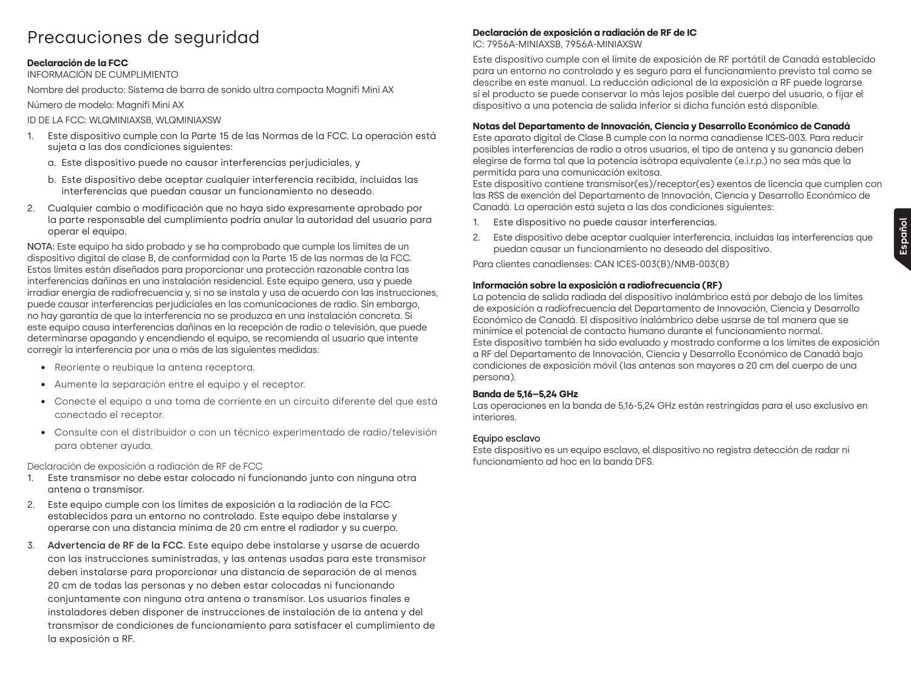## Precauciones de seguridad

## **Declaración de la FCC**

INFORMACIÓN DE CUMPLIMIENTO

Nombre del producto: Sistema de barra de sonido ultra compacta Magnifi Mini AX

Número de modelo: Magnifi Mini AX

ID DE LA FCC: WLQMINIAXSB, WLQMINIAXSW

- 1. Este dispositivo cumple con la Parte 15 de las Normas de la FCC. La operación está sujeta a las dos condiciones siguientes:
	- a. Este dispositivo puede no causar interferencias perjudiciales, y
	- b. Este dispositivo debe aceptar cualquier interferencia recibida, incluidas las interferencias que puedan causar un funcionamiento no deseado.
- 2. Cualquier cambio o modificación que no haya sido expresamente aprobado por la parte responsable del cumplimiento podría anular la autoridad del usuario para operar el equipo.

NOTA: Este equipo ha sido probado y se ha comprobado que cumple los límites de un dispositivo digital de clase B, de conformidad con la Parte 15 de las normas de la FCC. Estos límites están diseñados para proporcionar una protección razonable contra las interferencias dañinas en una instalación residencial. Este equipo genera, usa y puede irradiar energía de radiofrecuencia y, si no se instala y usa de acuerdo con las instrucciones, puede causar interferencias perjudiciales en las comunicaciones de radio. Sin embargo, no hay garantía de que la interferencia no se produzca en una instalación concreta. Si este equipo causa interferencias dañinas en la recepción de radio o televisión, que puede determinarse apagando y encendiendo el equipo, se recomienda al usuario que intente corregir la interferencia por una o más de las siguientes medidas:

- Reoriente o reubique la antena receptora.
- Aumente la separación entre el equipo y el receptor.
- Conecte el equipo a una toma de corriente en un circuito diferente del que está conectado el receptor.
- Consulte con el distribuidor o con un técnico experimentado de radio/televisión para obtener ayuda.

### Declaración de exposición a radiación de RF de FCC

- 1. Este transmisor no debe estar colocado ni funcionando junto con ninguna otra antena o transmisor.
- 2. Este equipo cumple con los límites de exposición a la radiación de la FCC establecidos para un entorno no controlado. Este equipo debe instalarse y operarse con una distancia mínima de 20 cm entre el radiador y su cuerpo.
- 3. Advertencia de RF de la FCC. Este equipo debe instalarse y usarse de acuerdo con las instrucciones suministradas, y las antenas usadas para este transmisor deben instalarse para proporcionar una distancia de separación de al menos 20 cm de todas las personas y no deben estar colocadas ni funcionando conjuntamente con ninguna otra antena o transmisor. Los usuarios finales e instaladores deben disponer de instrucciones de instalación de la antena y del transmisor de condiciones de funcionamiento para satisfacer el cumplimiento de la exposición a RF.

## **Declaración de exposición a radiación de RF de IC**

IC: 7956A-MINIAXSB, 7956A-MINIAXSW

Este dispositivo cumple con el límite de exposición de RF portátil de Canadá establecido para un entorno no controlado y es seguro para el funcionamiento previsto tal como se describe en este manual. La reducción adicional de la exposición a RF puede lograrse si el producto se puede conservar lo más lejos posible del cuerpo del usuario, o fijar el dispositivo a una potencia de salida inferior si dicha función está disponible.

## **Notas del Departamento de Innovación, Ciencia y Desarrollo Económico de Canadá**

Este aparato digital de Clase B cumple con la norma canadiense ICES-003. Para reducir posibles interferencias de radio a otros usuarios, el tipo de antena y su ganancia deben elegirse de forma tal que la potencia isótropa equivalente (e.i.r.p.) no sea más que la permitida para una comunicación exitosa.

Este dispositivo contiene transmisor(es)/receptor(es) exentos de licencia que cumplen con las RSS de exención del Departamento de Innovación, Ciencia y Desarrollo Económico de Canadá. La operación está sujeta a las dos condiciones siguientes:

- 1. Este dispositivo no puede causar interferencias.
- 2. Este dispositivo debe aceptar cualquier interferencia, incluidas las interferencias que puedan causar un funcionamiento no deseado del dispositivo.

Para clientes canadienses: CAN ICES-003(B)/NMB-003(B)

#### **Información sobre la exposición a radiofrecuencia (RF)**

La potencia de salida radiada del dispositivo inalámbrico está por debajo de los límites de exposición a radiofrecuencia del Departamento de Innovación, Ciencia y Desarrollo Económico de Canadá. El dispositivo inalámbrico debe usarse de tal manera que se minimice el potencial de contacto humano durante el funcionamiento normal. Este dispositivo también ha sido evaluado y mostrado conforme a los límites de exposición a RF del Departamento de Innovación, Ciencia y Desarrollo Económico de Canadá bajo condiciones de exposición móvil (las antenas son mayores a 20 cm del cuerpo de una persona).

#### **Banda de 5,16–5,24 GHz**

Las operaciones en la banda de 5,16-5,24 GHz están restringidas para el uso exclusivo en interiores.

#### Equipo esclavo

Este dispositivo es un equipo esclavo, el dispositivo no registra detección de radar ni funcionamiento ad hoc en la banda DFS.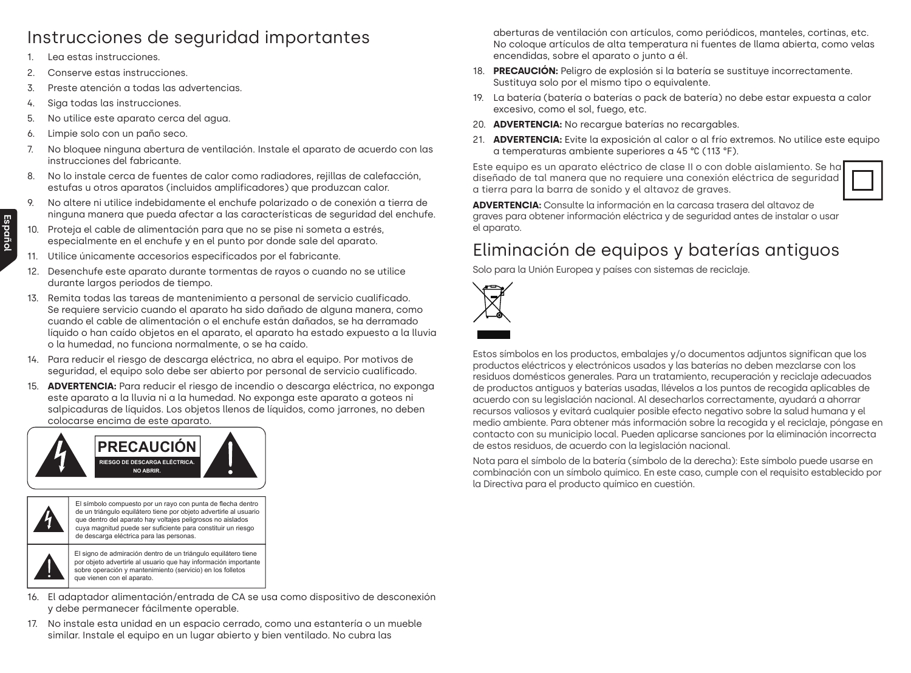## Instrucciones de seguridad importantes

- 1. Lea estas instrucciones.
- 2. Conserve estas instrucciones.
- 3. Preste atención a todas las advertencias.
- 4. Siga todas las instrucciones
- 5. No utilice este aparato cerca del agua.
- 6. Limpie solo con un paño seco.
- 7. No bloquee ninguna abertura de ventilación. Instale el aparato de acuerdo con las instrucciones del fabricante.
- 8. No lo instale cerca de fuentes de calor como radiadores, rejillas de calefacción, estufas u otros aparatos (incluidos amplificadores) que produzcan calor.
- 9. No altere ni utilice indebidamente el enchufe polarizado o de conexión a tierra de ninguna manera que pueda afectar a las características de seguridad del enchufe.
- 10. Proteja el cable de alimentación para que no se pise ni someta a estrés, especialmente en el enchufe y en el punto por donde sale del aparato.
- 11. Utilice únicamente accesorios especificados por el fabricante.
- 12. Desenchufe este aparato durante tormentas de rayos o cuando no se utilice durante largos periodos de tiempo.
- 13. Remita todas las tareas de mantenimiento a personal de servicio cualificado. Se requiere servicio cuando el aparato ha sido dañado de alguna manera, como cuando el cable de alimentación o el enchufe están dañados, se ha derramado líquido o han caído objetos en el aparato, el aparato ha estado expuesto a la lluvia o la humedad, no funciona normalmente, o se ha caído.
- 14. Para reducir el riesgo de descarga eléctrica, no abra el equipo. Por motivos de seguridad, el equipo solo debe ser abierto por personal de servicio cualificado.
- 15. **ADVERTENCIA:** Para reducir el riesgo de incendio o descarga eléctrica, no exponga este aparato a la lluvia ni a la humedad. No exponga este aparato a goteos ni salpicaduras de líquidos. Los objetos llenos de líquidos, como jarrones, no deben colocarse encima de este aparato.







- 16. El adaptador alimentación/entrada de CA se usa como dispositivo de desconexión y debe permanecer fácilmente operable.
- 17. No instale esta unidad en un espacio cerrado, como una estantería o un mueble similar. Instale el equipo en un lugar abierto y bien ventilado. No cubra las

aberturas de ventilación con artículos, como periódicos, manteles, cortinas, etc. No coloque artículos de alta temperatura ni fuentes de llama abierta, como velas encendidas, sobre el aparato o junto a él.

- 18. **PRECAUCIÓN:** Peligro de explosión si la batería se sustituye incorrectamente. Sustituya solo por el mismo tipo o equivalente.
- 19. La batería (batería o baterías o pack de batería) no debe estar expuesta a calor excesivo, como el sol, fuego, etc.
- 20. **ADVERTENCIA:** No recargue baterías no recargables.
- 21. **ADVERTENCIA:** Evite la exposición al calor o al frío extremos. No utilice este equipo a temperaturas ambiente superiores a 45 °C (113 °F).

Este equipo es un aparato eléctrico de clase II o con doble aislamiento. Se ha diseñado de tal manera que no requiere una conexión eléctrica de seguridad a tierra para la barra de sonido y el altavoz de graves.

**ADVERTENCIA:** Consulte la información en la carcasa trasera del altavoz de graves para obtener información eléctrica y de seguridad antes de instalar o usar el aparato.

## Eliminación de equipos y baterías antiguos

Solo para la Unión Europea y países con sistemas de reciclaje.



Estos símbolos en los productos, embalajes y/o documentos adjuntos significan que los productos eléctricos y electrónicos usados y las baterías no deben mezclarse con los residuos domésticos generales. Para un tratamiento, recuperación y reciclaje adecuados de productos antiguos y baterías usadas, llévelos a los puntos de recogida aplicables de acuerdo con su legislación nacional. Al desecharlos correctamente, ayudará a ahorrar recursos valiosos y evitará cualquier posible efecto negativo sobre la salud humana y el medio ambiente. Para obtener más información sobre la recogida y el reciclaje, póngase en contacto con su municipio local. Pueden aplicarse sanciones por la eliminación incorrecta de estos residuos, de acuerdo con la legislación nacional.

Nota para el símbolo de la batería (símbolo de la derecha): Este símbolo puede usarse en combinación con un símbolo químico. En este caso, cumple con el requisito establecido por la Directiva para el producto químico en cuestión.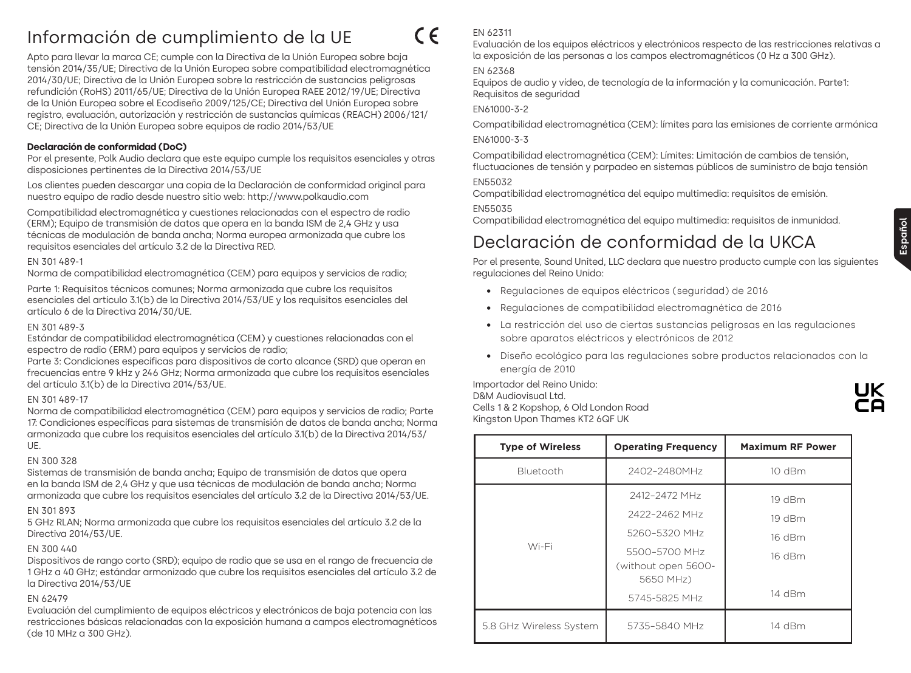# Información de cumplimiento de la UE

Apto para llevar la marca CE; cumple con la Directiva de la Unión Europea sobre baja tensión 2014/35/UE; Directiva de la Unión Europea sobre compatibilidad electromagnética 2014/30/UE; Directiva de la Unión Europea sobre la restricción de sustancias peligrosas refundición (RoHS) 2011/65/UE; Directiva de la Unión Europea RAEE 2012/19/UE; Directiva de la Unión Europea sobre el Ecodiseño 2009/125/CE; Directiva del Unión Europea sobre registro, evaluación, autorización y restricción de sustancias químicas (REACH) 2006/121/ CE; Directiva de la Unión Europea sobre equipos de radio 2014/53/UE

## **Declaración de conformidad (DoC)**

Por el presente, Polk Audio declara que este equipo cumple los requisitos esenciales y otras disposiciones pertinentes de la Directiva 2014/53/UE

Los clientes pueden descargar una copia de la Declaración de conformidad original para nuestro equipo de radio desde nuestro sitio web: http://www.polkaudio.com

Compatibilidad electromagnética y cuestiones relacionadas con el espectro de radio (ERM); Equipo de transmisión de datos que opera en la banda ISM de 2,4 GHz y usa técnicas de modulación de banda ancha; Norma europea armonizada que cubre los requisitos esenciales del artículo 3.2 de la Directiva RED.

#### EN 301 489-1

Norma de compatibilidad electromagnética (CEM) para equipos y servicios de radio;

Parte 1: Requisitos técnicos comunes; Norma armonizada que cubre los requisitos esenciales del artículo 3.1(b) de la Directiva 2014/53/UE y los requisitos esenciales del artículo 6 de la Directiva 2014/30/UE.

#### EN 301 489-3

Estándar de compatibilidad electromagnética (CEM) y cuestiones relacionadas con el espectro de radio (ERM) para equipos y servicios de radio;

Parte 3: Condiciones específicas para dispositivos de corto alcance (SRD) que operan en frecuencias entre 9 kHz y 246 GHz; Norma armonizada que cubre los requisitos esenciales del artículo 3.1(b) de la Directiva 2014/53/UE.

#### EN 301 489-17

Norma de compatibilidad electromagnética (CEM) para equipos y servicios de radio; Parte 17: Condiciones específicas para sistemas de transmisión de datos de banda ancha; Norma armonizada que cubre los requisitos esenciales del artículo 3.1(b) de la Directiva 2014/53/ UE.

#### EN 300 328

Sistemas de transmisión de banda ancha; Equipo de transmisión de datos que opera en la banda ISM de 2,4 GHz y que usa técnicas de modulación de banda ancha; Norma armonizada que cubre los requisitos esenciales del artículo 3.2 de la Directiva 2014/53/UE.

#### EN 301 893

5 GHz RLAN; Norma armonizada que cubre los requisitos esenciales del artículo 3.2 de la Directiva 2014/53/UE.

## EN 300 440

Dispositivos de rango corto (SRD); equipo de radio que se usa en el rango de frecuencia de 1 GHz a 40 GHz; estándar armonizado que cubre los requisitos esenciales del artículo 3.2 de la Directiva 2014/53/UE

### EN 62479

Evaluación del cumplimiento de equipos eléctricos y electrónicos de baja potencia con las restricciones básicas relacionadas con la exposición humana a campos electromagnéticos (de 10 MHz a 300 GHz).

## EN 62311

 $\epsilon$ 

Evaluación de los equipos eléctricos y electrónicos respecto de las restricciones relativas a la exposición de las personas a los campos electromagnéticos (0 Hz a 300 GHz).

## EN 62368

Equipos de audio y vídeo, de tecnología de la información y la comunicación. Parte1: Requisitos de seguridad

## EN61000-3-2

Compatibilidad electromagnética (CEM): límites para las emisiones de corriente armónica

## EN61000-3-3

Compatibilidad electromagnética (CEM): Límites: Limitación de cambios de tensión, fluctuaciones de tensión y parpadeo en sistemas públicos de suministro de baja tensión

## EN55032

Compatibilidad electromagnética del equipo multimedia: requisitos de emisión.

#### EN55035

Compatibilidad electromagnética del equipo multimedia: requisitos de inmunidad.

# Declaración de conformidad de la UKCA

Por el presente, Sound United, LLC declara que nuestro producto cumple con las siguientes regulaciones del Reino Unido:

- Regulaciones de equipos eléctricos (seguridad) de 2016
- Regulaciones de compatibilidad electromagnética de 2016
- La restricción del uso de ciertas sustancias peligrosas en las regulaciones sobre aparatos eléctricos y electrónicos de 2012
- Diseño ecológico para las regulaciones sobre productos relacionados con la energía de 2010

Importador del Reino Unido: D&M Audiovisual Ltd. Cells 1 & 2 Kopshop, 6 Old London Road Kingston Upon Thames KT2 6QF UK

| <b>Type of Wireless</b> | <b>Operating Frequency</b>                        | <b>Maximum RF Power</b> |  |
|-------------------------|---------------------------------------------------|-------------------------|--|
| Bluetooth               | 2402-2480MHz                                      | 10 dBm                  |  |
|                         | 2412-2472 MHz                                     | 19 dBm                  |  |
|                         | 2422-2462 MHz                                     | 19 dBm                  |  |
|                         | 5260-5320 MHz                                     | 16 dBm                  |  |
| Wi-Fi                   | 5500-5700 MHz<br>(without open 5600-<br>5650 MHz) | 16 dBm                  |  |
|                         | 5745-5825 MHz                                     | 14 dBm                  |  |
| 5.8 GHz Wireless System | 5735-5840 MHz                                     | 14 dBm                  |  |

**Español**